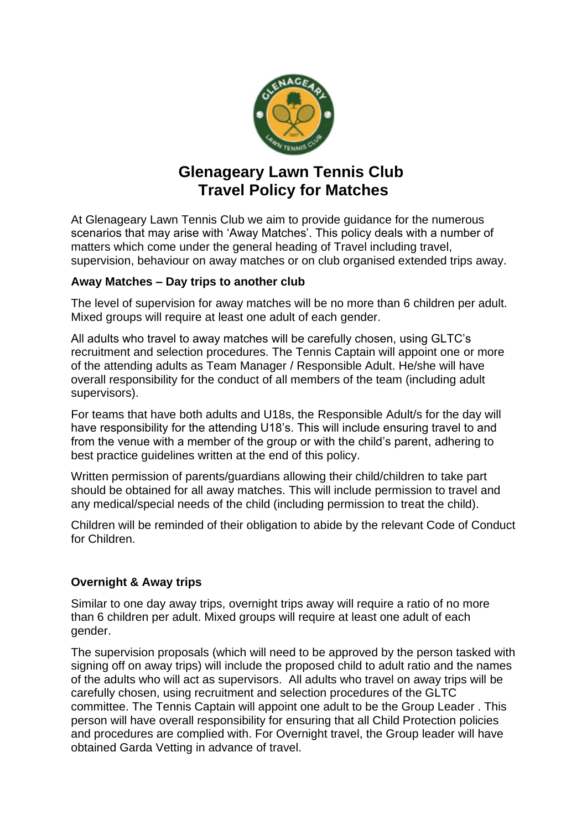

# **Glenageary Lawn Tennis Club Travel Policy for Matches**

At Glenageary Lawn Tennis Club we aim to provide guidance for the numerous scenarios that may arise with 'Away Matches'. This policy deals with a number of matters which come under the general heading of Travel including travel, supervision, behaviour on away matches or on club organised extended trips away.

## **Away Matches – Day trips to another club**

The level of supervision for away matches will be no more than 6 children per adult. Mixed groups will require at least one adult of each gender.

All adults who travel to away matches will be carefully chosen, using GLTC's recruitment and selection procedures. The Tennis Captain will appoint one or more of the attending adults as Team Manager / Responsible Adult. He/she will have overall responsibility for the conduct of all members of the team (including adult supervisors).

For teams that have both adults and U18s, the Responsible Adult/s for the day will have responsibility for the attending U18's. This will include ensuring travel to and from the venue with a member of the group or with the child's parent, adhering to best practice guidelines written at the end of this policy.

Written permission of parents/guardians allowing their child/children to take part should be obtained for all away matches. This will include permission to travel and any medical/special needs of the child (including permission to treat the child).

Children will be reminded of their obligation to abide by the relevant Code of Conduct for Children.

## **Overnight & Away trips**

Similar to one day away trips, overnight trips away will require a ratio of no more than 6 children per adult. Mixed groups will require at least one adult of each gender.

The supervision proposals (which will need to be approved by the person tasked with signing off on away trips) will include the proposed child to adult ratio and the names of the adults who will act as supervisors. All adults who travel on away trips will be carefully chosen, using recruitment and selection procedures of the GLTC committee. The Tennis Captain will appoint one adult to be the Group Leader . This person will have overall responsibility for ensuring that all Child Protection policies and procedures are complied with. For Overnight travel, the Group leader will have obtained Garda Vetting in advance of travel.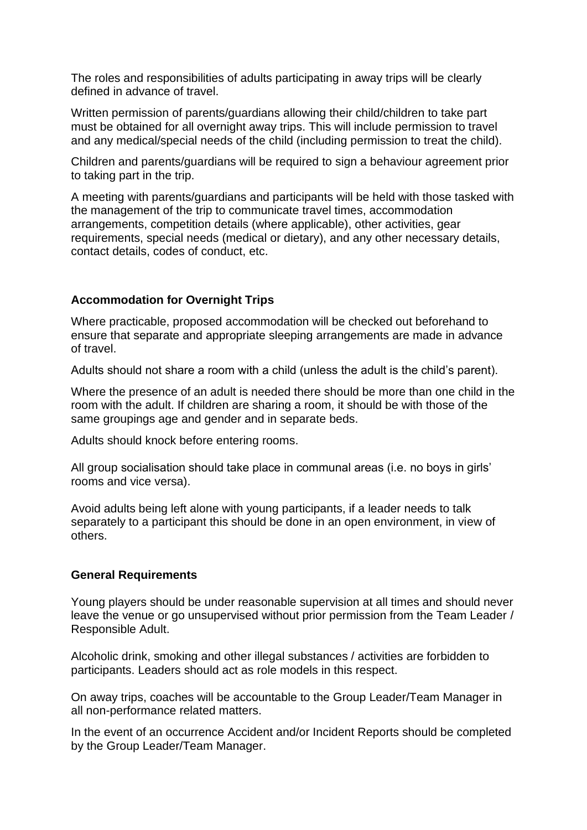The roles and responsibilities of adults participating in away trips will be clearly defined in advance of travel.

Written permission of parents/guardians allowing their child/children to take part must be obtained for all overnight away trips. This will include permission to travel and any medical/special needs of the child (including permission to treat the child).

Children and parents/guardians will be required to sign a behaviour agreement prior to taking part in the trip.

A meeting with parents/guardians and participants will be held with those tasked with the management of the trip to communicate travel times, accommodation arrangements, competition details (where applicable), other activities, gear requirements, special needs (medical or dietary), and any other necessary details, contact details, codes of conduct, etc.

## **Accommodation for Overnight Trips**

Where practicable, proposed accommodation will be checked out beforehand to ensure that separate and appropriate sleeping arrangements are made in advance of travel.

Adults should not share a room with a child (unless the adult is the child's parent).

Where the presence of an adult is needed there should be more than one child in the room with the adult. If children are sharing a room, it should be with those of the same groupings age and gender and in separate beds.

Adults should knock before entering rooms.

All group socialisation should take place in communal areas (i.e. no boys in girls' rooms and vice versa).

Avoid adults being left alone with young participants, if a leader needs to talk separately to a participant this should be done in an open environment, in view of others.

## **General Requirements**

Young players should be under reasonable supervision at all times and should never leave the venue or go unsupervised without prior permission from the Team Leader / Responsible Adult.

Alcoholic drink, smoking and other illegal substances / activities are forbidden to participants. Leaders should act as role models in this respect.

On away trips, coaches will be accountable to the Group Leader/Team Manager in all non-performance related matters.

In the event of an occurrence Accident and/or Incident Reports should be completed by the Group Leader/Team Manager.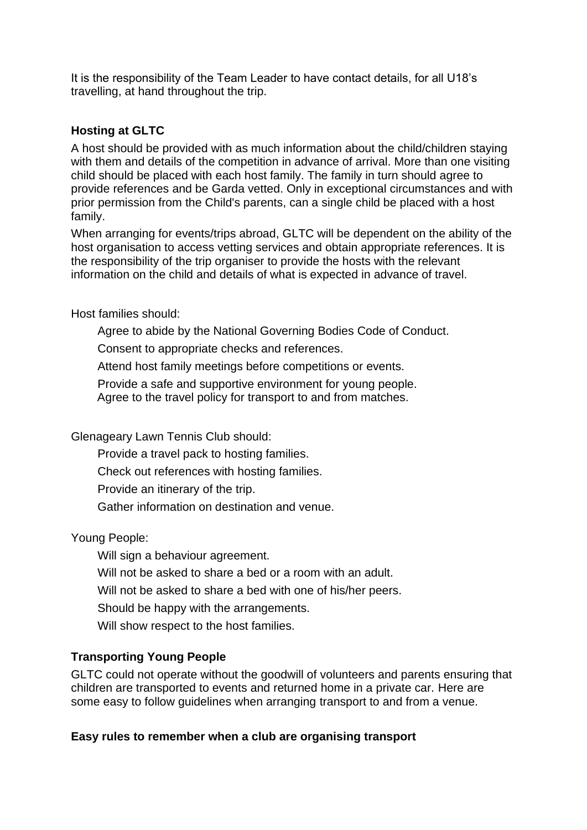It is the responsibility of the Team Leader to have contact details, for all U18's travelling, at hand throughout the trip.

## **Hosting at GLTC**

A host should be provided with as much information about the child/children staying with them and details of the competition in advance of arrival. More than one visiting child should be placed with each host family. The family in turn should agree to provide references and be Garda vetted. Only in exceptional circumstances and with prior permission from the Child's parents, can a single child be placed with a host family.

When arranging for events/trips abroad, GLTC will be dependent on the ability of the host organisation to access vetting services and obtain appropriate references. It is the responsibility of the trip organiser to provide the hosts with the relevant information on the child and details of what is expected in advance of travel.

Host families should:

Agree to abide by the National Governing Bodies Code of Conduct.

Consent to appropriate checks and references.

Attend host family meetings before competitions or events.

Provide a safe and supportive environment for young people. Agree to the travel policy for transport to and from matches.

Glenageary Lawn Tennis Club should:

Provide a travel pack to hosting families.

Check out references with hosting families.

Provide an itinerary of the trip.

Gather information on destination and venue.

## Young People:

Will sign a behaviour agreement. Will not be asked to share a bed or a room with an adult. Will not be asked to share a bed with one of his/her peers. Should be happy with the arrangements. Will show respect to the host families.

## **Transporting Young People**

GLTC could not operate without the goodwill of volunteers and parents ensuring that children are transported to events and returned home in a private car. Here are some easy to follow guidelines when arranging transport to and from a venue.

## **Easy rules to remember when a club are organising transport**